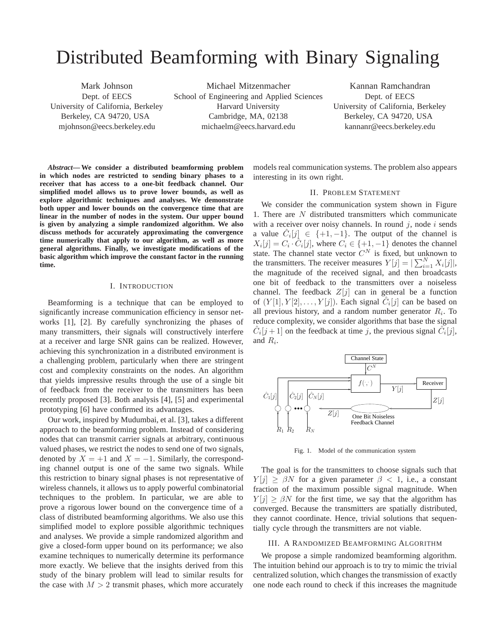# Distributed Beamforming with Binary Signaling

Mark Johnson Dept. of EECS University of California, Berkeley Berkeley, CA 94720, USA mjohnson@eecs.berkeley.edu

Michael Mitzenmacher School of Engineering and Applied Sciences Harvard University Cambridge, MA, 02138 michaelm@eecs.harvard.edu

Kannan Ramchandran Dept. of EECS University of California, Berkeley Berkeley, CA 94720, USA kannanr@eecs.berkeley.edu

*Abstract***— We consider a distributed beamforming problem in which nodes are restricted to sending binary phases to a receiver that has access to a one-bit feedback channel. Our simplified model allows us to prove lower bounds, as well as explore algorithmic techniques and analyses. We demonstrate both upper and lower bounds on the convergence time that are linear in the number of nodes in the system. Our upper bound is given by analyzing a simple randomized algorithm. We also discuss methods for accurately approximating the convergence time numerically that apply to our algorithm, as well as more general algorithms. Finally, we investigate modifications of the basic algorithm which improve the constant factor in the running time.**

### I. INTRODUCTION

Beamforming is a technique that can be employed to significantly increase communication efficiency in sensor networks [1], [2]. By carefully synchronizing the phases of many transmitters, their signals will constructively interfere at a receiver and large SNR gains can be realized. However, achieving this synchronization in a distributed environment is a challenging problem, particularly when there are stringent cost and complexity constraints on the nodes. An algorithm that yields impressive results through the use of a single bit of feedback from the receiver to the transmitters has been recently proposed [3]. Both analysis [4], [5] and experimental prototyping [6] have confirmed its advantages.

Our work, inspired by Mudumbai, et al. [3], takes a different approach to the beamforming problem. Instead of considering nodes that can transmit carrier signals at arbitrary, continuous valued phases, we restrict the nodes to send one of two signals, denoted by  $X = +1$  and  $X = -1$ . Similarly, the corresponding channel output is one of the same two signals. While this restriction to binary signal phases is not representative of wireless channels, it allows us to apply powerful combinatorial techniques to the problem. In particular, we are able to prove a rigorous lower bound on the convergence time of a class of distributed beamforming algorithms. We also use this simplified model to explore possible algorithmic techniques and analyses. We provide a simple randomized algorithm and give a closed-form upper bound on its performance; we also examine techniques to numerically determine its performance more exactly. We believe that the insights derived from this study of the binary problem will lead to similar results for the case with  $M > 2$  transmit phases, which more accurately

models real communication systems. The problem also appears interesting in its own right.

#### II. PROBLEM STATEMENT

We consider the communication system shown in Figure 1. There are N distributed transmitters which communicate with a receiver over noisy channels. In round  $j$ , node  $i$  sends a value  $\hat{C}_i[j] \in \{+1, -1\}$ . The output of the channel is  $X_i[j] = C_i \cdot \hat{C}_i[j]$ , where  $C_i \in \{+1, -1\}$  denotes the channel state. The channel state vector  $C^N$  is fixed, but unknown to the transmitters. The receiver measures  $Y[j] = \left| \sum_{i=1}^{N} X_i[j] \right|$ , the magnitude of the received signal, and then broadcasts one bit of feedback to the transmitters over a noiseless channel. The feedback  $Z[j]$  can in general be a function of  $(Y[1], Y[2], \ldots, Y[j])$ . Each signal  $\hat{C}_i[j]$  can be based on all previous history, and a random number generator  $R_i$ . To reduce complexity, we consider algorithms that base the signal  $\hat{C}_i[j+1]$  on the feedback at time j, the previous signal  $\hat{C}_i[j]$ , and  $R_i$ .



Fig. 1. Model of the communication system

The goal is for the transmitters to choose signals such that  $Y[i] > \beta N$  for a given parameter  $\beta < 1$ , i.e., a constant fraction of the maximum possible signal magnitude. When  $Y[i] \geq \beta N$  for the first time, we say that the algorithm has converged. Because the transmitters are spatially distributed, they cannot coordinate. Hence, trivial solutions that sequentially cycle through the transmitters are not viable.

## III. A RANDOMIZED BEAMFORMING ALGORITHM

We propose a simple randomized beamforming algorithm. The intuition behind our approach is to try to mimic the trivial centralized solution, which changes the transmission of exactly one node each round to check if this increases the magnitude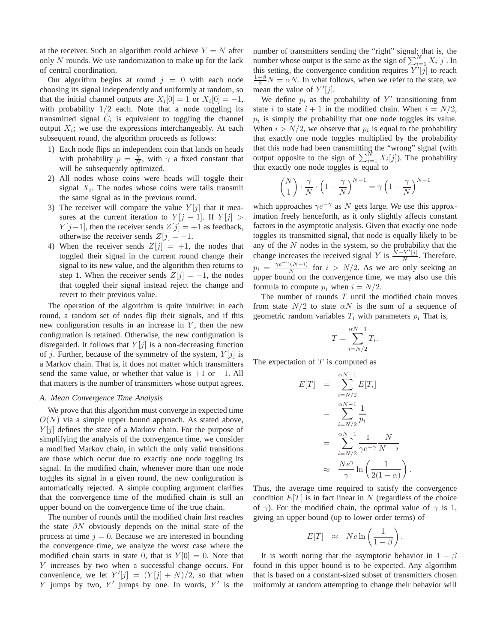at the receiver. Such an algorithm could achieve  $Y = N$  after only N rounds. We use randomization to make up for the lack of central coordination.

Our algorithm begins at round  $j = 0$  with each node choosing its signal independently and uniformly at random, so that the initial channel outputs are  $X_i[0] = 1$  or  $X_i[0] = -1$ , with probability  $1/2$  each. Note that a node toggling its transmitted signal  $\hat{C}_i$  is equivalent to toggling the channel output  $X_i$ ; we use the expressions interchangeably. At each subsequent round, the algorithm proceeds as follows:

- 1) Each node flips an independent coin that lands on heads with probability  $p = \frac{\gamma}{N}$ , with  $\gamma$  a fixed constant that will be subsequently optimized.
- 2) All nodes whose coins were heads will toggle their signal  $X_i$ . The nodes whose coins were tails transmit the same signal as in the previous round.
- 3) The receiver will compare the value  $Y[i]$  that it measures at the current iteration to  $Y[j-1]$ . If  $Y[j] >$  $Y[j-1]$ , then the receiver sends  $Z[j] = +1$  as feedback, otherwise the receiver sends  $Z[j] = -1$ .
- 4) When the receiver sends  $Z[j] = +1$ , the nodes that toggled their signal in the current round change their signal to its new value, and the algorithm then returns to step 1. When the receiver sends  $Z[j] = -1$ , the nodes that toggled their signal instead reject the change and revert to their previous value.

The operation of the algorithm is quite intuitive: in each round, a random set of nodes flip their signals, and if this new configuration results in an increase in  $Y$ , then the new configuration is retained. Otherwise, the new configuration is disregarded. It follows that  $Y[j]$  is a non-decreasing function of j. Further, because of the symmetry of the system,  $Y[j]$  is a Markov chain. That is, it does not matter which transmitters send the same value, or whether that value is  $+1$  or  $-1$ . All that matters is the number of transmitters whose output agrees.

#### *A. Mean Convergence Time Analysis*

We prove that this algorithm must converge in expected time  $O(N)$  via a simple upper bound approach. As stated above,  $Y[i]$  defines the state of a Markov chain. For the purpose of simplifying the analysis of the convergence time, we consider a modified Markov chain, in which the only valid transitions are those which occur due to exactly one node toggling its signal. In the modified chain, whenever more than one node toggles its signal in a given round, the new configuration is automatically rejected. A simple coupling argument clarifies that the convergence time of the modified chain is still an upper bound on the convergence time of the true chain.

The number of rounds until the modified chain first reaches the state  $\beta N$  obviously depends on the initial state of the process at time  $j = 0$ . Because we are interested in bounding the convergence time, we analyze the worst case where the modified chain starts in state 0, that is  $Y[0] = 0$ . Note that Y increases by two when a successful change occurs. For convenience, we let  $Y'[j] = (Y[j] + N)/2$ , so that when Y jumps by two,  $Y'$  jumps by one. In words,  $Y'$  is the

number of transmitters sending the "right" signal; that is, the number whose output is the same as the sign of  $\sum_{i=1}^{N} X_i[j]$ . In this setting, the convergence condition requires  $\overline{Y'[j]}$  to reach  $\frac{1+\beta}{2}N = \alpha N$ . In what follows, when we refer to the state, we mean the value of  $Y'[j]$ .

We define  $p_i$  as the probability of  $Y'$  transitioning from state i to state  $i + 1$  in the modified chain. When  $i = N/2$ ,  $p_i$  is simply the probability that one node toggles its value. When  $i > N/2$ , we observe that  $p_i$  is equal to the probability that exactly one node toggles multiplied by the probability that this node had been transmitting the "wrong" signal (with output opposite to the sign of  $\sum_{i=1}^{N} X_i[j]$ ). The probability that exactly one node toggles is equal to

$$
\binom{N}{1} \cdot \frac{\gamma}{N} \cdot \left(1 - \frac{\gamma}{N}\right)^{N-1} = \gamma \left(1 - \frac{\gamma}{N}\right)^{N-1}
$$

which approaches  $\gamma e^{-\gamma}$  as N gets large. We use this approximation freely henceforth, as it only slightly affects constant factors in the asymptotic analysis. Given that exactly one node toggles its transmitted signal, that node is equally likely to be any of the  $N$  nodes in the system, so the probability that the change increases the received signal Y is  $\frac{N-Y'[j]}{N}$  $\frac{Y^T[j]}{N}$ . Therefore,  $p_i = \frac{\gamma e^{-\gamma} (N - i)}{N}$  $\frac{(N-i)}{N}$  for  $i > N/2$ . As we are only seeking an upper bound on the convergence time, we may also use this formula to compute  $p_i$  when  $i = N/2$ .

The number of rounds  $T$  until the modified chain moves from state  $N/2$  to state  $\alpha N$  is the sum of a sequence of geometric random variables  $T_i$  with parameters  $p_i$  That is,

$$
T = \sum_{i=N/2}^{\alpha N - 1} T_i.
$$

The expectation of  $T$  is computed as

$$
E[T] = \sum_{i=N/2}^{\alpha N-1} E[T_i]
$$
  
= 
$$
\sum_{i=N/2}^{\alpha N-1} \frac{1}{p_i}
$$
  
= 
$$
\sum_{i=N/2}^{\alpha N-1} \frac{1}{\gamma e^{-\gamma}} \frac{N}{N-i}
$$
  

$$
\approx \frac{Ne^{\gamma}}{\gamma} \ln \left( \frac{1}{2(1-\alpha)} \right)
$$

Thus, the average time required to satisfy the convergence condition  $E[T]$  is in fact linear in N (regardless of the choice of  $\gamma$ ). For the modified chain, the optimal value of  $\gamma$  is 1, giving an upper bound (up to lower order terms) of

.

$$
E[T] \approx Ne \ln\left(\frac{1}{1-\beta}\right).
$$

It is worth noting that the asymptotic behavior in  $1 - \beta$ found in this upper bound is to be expected. Any algorithm that is based on a constant-sized subset of transmitters chosen uniformly at random attempting to change their behavior will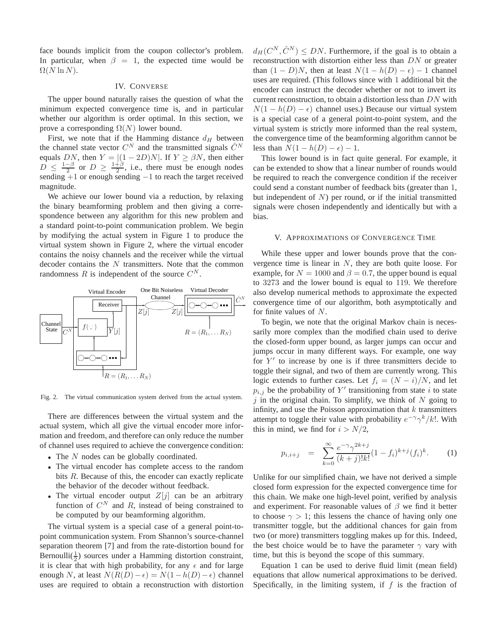face bounds implicit from the coupon collector's problem. In particular, when  $\beta = 1$ , the expected time would be  $\Omega(N \ln N)$ .

## IV. CONVERSE

The upper bound naturally raises the question of what the minimum expected convergence time is, and in particular whether our algorithm is order optimal. In this section, we prove a corresponding  $\Omega(N)$  lower bound.

First, we note that if the Hamming distance  $d_H$  between the channel state vector  $C^N$  and the transmitted signals  $\hat{C}^N$ equals DN, then  $Y = |(1 - 2D)N|$ . If  $Y \ge \beta N$ , then either  $\overline{D} \leq \frac{1-\beta}{2}$  or  $\overline{D} \geq \frac{1+\beta}{2}$ , i.e., there must be enough nodes sending +1 or enough sending −1 to reach the target received magnitude.

We achieve our lower bound via a reduction, by relaxing the binary beamforming problem and then giving a correspondence between any algorithm for this new problem and a standard point-to-point communication problem. We begin by modifying the actual system in Figure 1 to produce the virtual system shown in Figure 2, where the virtual encoder contains the noisy channels and the receiver while the virtual decoder contains the  $N$  transmitters. Note that the common randomness R is independent of the source  $C^N$ .



Fig. 2. The virtual communication system derived from the actual system.

There are differences between the virtual system and the actual system, which all give the virtual encoder more information and freedom, and therefore can only reduce the number of channel uses required to achieve the convergence condition:

- The N nodes can be globally coordinated.
- The virtual encoder has complete access to the random bits R. Because of this, the encoder can exactly replicate the behavior of the decoder without feedback.
- The virtual encoder output  $Z[j]$  can be an arbitrary function of  $C^N$  and R, instead of being constrained to be computed by our beamforming algorithm.

The virtual system is a special case of a general point-topoint communication system. From Shannon's source-channel separation theorem [7] and from the rate-distortion bound for Bernoulli $(\frac{1}{2})$  sources under a Hamming distortion constraint, it is clear that with high probability, for any  $\epsilon$  and for large enough N, at least  $N(R(D) - \epsilon) = N(1 - h(D) - \epsilon)$  channel uses are required to obtain a reconstruction with distortion

 $d_H(C^N, \hat{C}^N) \leq DN$ . Furthermore, if the goal is to obtain a reconstruction with distortion either less than DN or greater than  $(1 - D)N$ , then at least  $N(1 - h(D) - \epsilon) - 1$  channel uses are required. (This follows since with 1 additional bit the encoder can instruct the decoder whether or not to invert its current reconstruction, to obtain a distortion less than DN with  $N(1 - h(D) - \epsilon)$  channel uses.) Because our virtual system is a special case of a general point-to-point system, and the virtual system is strictly more informed than the real system, the convergence time of the beamforming algorithm cannot be less than  $N(1 - h(D) - \epsilon) - 1$ .

This lower bound is in fact quite general. For example, it can be extended to show that a linear number of rounds would be required to reach the convergence condition if the receiver could send a constant number of feedback bits (greater than 1, but independent of  $N$ ) per round, or if the initial transmitted signals were chosen independently and identically but with a bias.

# V. APPROXIMATIONS OF CONVERGENCE TIME

While these upper and lower bounds prove that the convergence time is linear in N, they are both quite loose. For example, for  $N = 1000$  and  $\beta = 0.7$ , the upper bound is equal to 3273 and the lower bound is equal to 119. We therefore also develop numerical methods to approximate the expected convergence time of our algorithm, both asymptotically and for finite values of  $N$ .

To begin, we note that the original Markov chain is necessarily more complex than the modified chain used to derive the closed-form upper bound, as larger jumps can occur and jumps occur in many different ways. For example, one way for  $Y'$  to increase by one is if three transmitters decide to toggle their signal, and two of them are currently wrong. This logic extends to further cases. Let  $f_i = (N - i)/N$ , and let  $p_{i,j}$  be the probability of Y' transitioning from state i to state  $j$  in the original chain. To simplify, we think of N going to infinity, and use the Poisson approximation that  $k$  transmitters attempt to toggle their value with probability  $e^{-\gamma} \gamma^{k} / k!$ . With this in mind, we find for  $i > N/2$ ,

$$
p_{i,i+j} = \sum_{k=0}^{\infty} \frac{e^{-\gamma} \gamma^{2k+j}}{(k+j)!k!} (1-f_i)^{k+j} (f_i)^k.
$$
 (1)

Unlike for our simplified chain, we have not derived a simple closed form expression for the expected convergence time for this chain. We make one high-level point, verified by analysis and experiment. For reasonable values of  $\beta$  we find it better to choose  $\gamma > 1$ ; this lessens the chance of having only one transmitter toggle, but the additional chances for gain from two (or more) transmitters toggling makes up for this. Indeed, the best choice would be to have the parameter  $\gamma$  vary with time, but this is beyond the scope of this summary.

Equation 1 can be used to derive fluid limit (mean field) equations that allow numerical approximations to be derived. Specifically, in the limiting system, if  $f$  is the fraction of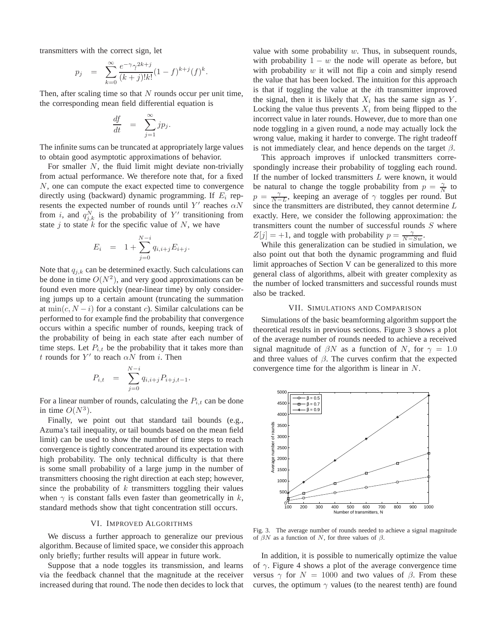transmitters with the correct sign, let

$$
p_j = \sum_{k=0}^{\infty} \frac{e^{-\gamma} \gamma^{2k+j}}{(k+j)!k!} (1-f)^{k+j} (f)^k.
$$

Then, after scaling time so that  $N$  rounds occur per unit time, the corresponding mean field differential equation is

$$
\frac{df}{dt} = \sum_{j=1}^{\infty} j p_j.
$$

The infinite sums can be truncated at appropriately large values to obtain good asymptotic approximations of behavior.

For smaller  $N$ , the fluid limit might deviate non-trivially from actual performance. We therefore note that, for a fixed N, one can compute the exact expected time to convergence directly using (backward) dynamic programming. If  $E_i$  represents the expected number of rounds until Y' reaches  $\alpha N$ from i, and  $q_{j,k}^N$  is the probability of Y' transitioning from state j to state  $k$  for the specific value of  $N$ , we have

$$
E_i = 1 + \sum_{j=0}^{N-i} q_{i,i+j} E_{i+j}.
$$

Note that  $q_{j,k}$  can be determined exactly. Such calculations can be done in time  $O(N^2)$ , and very good approximations can be found even more quickly (near-linear time) by only considering jumps up to a certain amount (truncating the summation at  $\min(c, N - i)$  for a constant c). Similar calculations can be performed to for example find the probability that convergence occurs within a specific number of rounds, keeping track of the probability of being in each state after each number of time steps. Let  $P_{i,t}$  be the probability that it takes more than t rounds for Y' to reach  $\alpha N$  from i. Then

$$
P_{i,t} = \sum_{j=0}^{N-i} q_{i,i+j} P_{i+j,t-1}.
$$

For a linear number of rounds, calculating the  $P_{i,t}$  can be done in time  $O(N^3)$ .

Finally, we point out that standard tail bounds (e.g., Azuma's tail inequality, or tail bounds based on the mean field limit) can be used to show the number of time steps to reach convergence is tightly concentrated around its expectation with high probability. The only technical difficulty is that there is some small probability of a large jump in the number of transmitters choosing the right direction at each step; however, since the probability of  $k$  transmitters toggling their values when  $\gamma$  is constant falls even faster than geometrically in k, standard methods show that tight concentration still occurs.

## VI. IMPROVED ALGORITHMS

We discuss a further approach to generalize our previous algorithm. Because of limited space, we consider this approach only briefly; further results will appear in future work.

Suppose that a node toggles its transmission, and learns via the feedback channel that the magnitude at the receiver increased during that round. The node then decides to lock that

value with some probability  $w$ . Thus, in subsequent rounds, with probability  $1 - w$  the node will operate as before, but with probability  $w$  it will not flip a coin and simply resend the value that has been locked. The intuition for this approach is that if toggling the value at the ith transmitter improved the signal, then it is likely that  $X_i$  has the same sign as Y. Locking the value thus prevents  $X_i$  from being flipped to the incorrect value in later rounds. However, due to more than one node toggling in a given round, a node may actually lock the wrong value, making it harder to converge. The right tradeoff is not immediately clear, and hence depends on the target  $\beta$ .

This approach improves if unlocked transmitters correspondingly increase their probability of toggling each round. If the number of locked transmitters L were known, it would be natural to change the toggle probability from  $p = \frac{\gamma}{N}$  to  $p = \frac{\gamma}{N-L}$ , keeping an average of  $\gamma$  toggles per round. But since the transmitters are distributed, they cannot determine  $L$ exactly. Here, we consider the following approximation: the transmitters count the number of successful rounds  $S$  where  $Z[j] = +1$ , and toggle with probability  $p = \frac{\gamma}{N-Sw}$ .

While this generalization can be studied in simulation, we also point out that both the dynamic programming and fluid limit approaches of Section V can be generalized to this more general class of algorithms, albeit with greater complexity as the number of locked transmitters and successful rounds must also be tracked.

#### VII. SIMULATIONS AND COMPARISON

Simulations of the basic beamforming algorithm support the theoretical results in previous sections. Figure 3 shows a plot of the average number of rounds needed to achieve a received signal magnitude of  $\beta N$  as a function of N, for  $\gamma = 1.0$ and three values of  $\beta$ . The curves confirm that the expected convergence time for the algorithm is linear in N.



Fig. 3. The average number of rounds needed to achieve a signal magnitude of  $\beta N$  as a function of N, for three values of  $\beta$ .

In addition, it is possible to numerically optimize the value of  $\gamma$ . Figure 4 shows a plot of the average convergence time versus  $\gamma$  for  $N = 1000$  and two values of  $\beta$ . From these curves, the optimum  $\gamma$  values (to the nearest tenth) are found